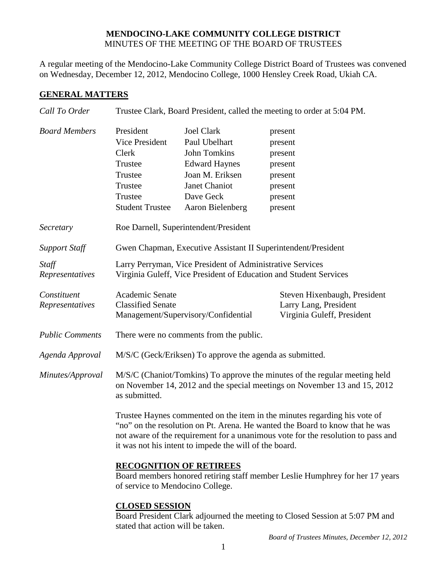## **MENDOCINO-LAKE COMMUNITY COLLEGE DISTRICT** MINUTES OF THE MEETING OF THE BOARD OF TRUSTEES

A regular meeting of the Mendocino-Lake Community College District Board of Trustees was convened on Wednesday, December 12, 2012, Mendocino College, 1000 Hensley Creek Road, Ukiah CA.

## **GENERAL MATTERS**

| Call To Order                  | Trustee Clark, Board President, called the meeting to order at 5:04 PM.                                                                                                                                                                                                                                 |                                                                                                                                                 |                                                                                      |  |
|--------------------------------|---------------------------------------------------------------------------------------------------------------------------------------------------------------------------------------------------------------------------------------------------------------------------------------------------------|-------------------------------------------------------------------------------------------------------------------------------------------------|--------------------------------------------------------------------------------------|--|
| <b>Board Members</b>           | President<br>Vice President<br>Clerk<br>Trustee<br>Trustee<br>Trustee<br>Trustee<br><b>Student Trustee</b>                                                                                                                                                                                              | <b>Joel Clark</b><br>Paul Ubelhart<br>John Tomkins<br><b>Edward Haynes</b><br>Joan M. Eriksen<br>Janet Chaniot<br>Dave Geck<br>Aaron Bielenberg | present<br>present<br>present<br>present<br>present<br>present<br>present<br>present |  |
| Secretary                      | Roe Darnell, Superintendent/President                                                                                                                                                                                                                                                                   |                                                                                                                                                 |                                                                                      |  |
| <b>Support Staff</b>           | Gwen Chapman, Executive Assistant II Superintendent/President                                                                                                                                                                                                                                           |                                                                                                                                                 |                                                                                      |  |
| Staff<br>Representatives       | Larry Perryman, Vice President of Administrative Services<br>Virginia Guleff, Vice President of Education and Student Services                                                                                                                                                                          |                                                                                                                                                 |                                                                                      |  |
| Constituent<br>Representatives | Academic Senate<br><b>Classified Senate</b>                                                                                                                                                                                                                                                             | Management/Supervisory/Confidential                                                                                                             | Steven Hixenbaugh, President<br>Larry Lang, President<br>Virginia Guleff, President  |  |
| <b>Public Comments</b>         | There were no comments from the public.                                                                                                                                                                                                                                                                 |                                                                                                                                                 |                                                                                      |  |
| Agenda Approval                | M/S/C (Geck/Eriksen) To approve the agenda as submitted.                                                                                                                                                                                                                                                |                                                                                                                                                 |                                                                                      |  |
| Minutes/Approval               | M/S/C (Chaniot/Tomkins) To approve the minutes of the regular meeting held<br>on November 14, 2012 and the special meetings on November 13 and 15, 2012<br>as submitted.                                                                                                                                |                                                                                                                                                 |                                                                                      |  |
|                                | Trustee Haynes commented on the item in the minutes regarding his vote of<br>"no" on the resolution on Pt. Arena. He wanted the Board to know that he was<br>not aware of the requirement for a unanimous vote for the resolution to pass and<br>it was not his intent to impede the will of the board. |                                                                                                                                                 |                                                                                      |  |
|                                | <b>RECOGNITION OF RETIREES</b><br>Board members honored retiring staff member Leslie Humphrey for her 17 years<br>of service to Mendocino College.                                                                                                                                                      |                                                                                                                                                 |                                                                                      |  |

# **CLOSED SESSION**

Board President Clark adjourned the meeting to Closed Session at 5:07 PM and stated that action will be taken.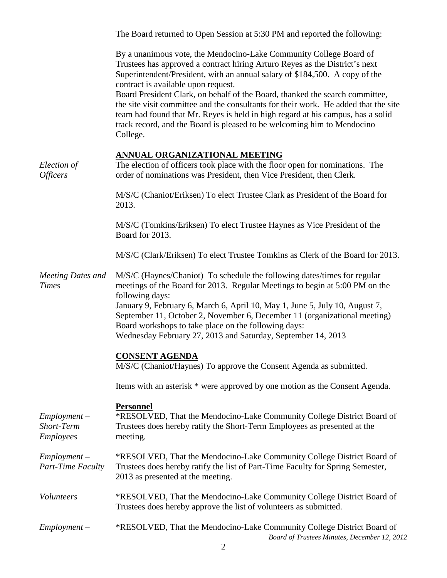|                                                         | The Board returned to Open Session at 5:30 PM and reported the following:                                                                                                                                                                                                                                                                                                                                                                                                                                                                                                                                                |
|---------------------------------------------------------|--------------------------------------------------------------------------------------------------------------------------------------------------------------------------------------------------------------------------------------------------------------------------------------------------------------------------------------------------------------------------------------------------------------------------------------------------------------------------------------------------------------------------------------------------------------------------------------------------------------------------|
|                                                         | By a unanimous vote, the Mendocino-Lake Community College Board of<br>Trustees has approved a contract hiring Arturo Reyes as the District's next<br>Superintendent/President, with an annual salary of \$184,500. A copy of the<br>contract is available upon request.<br>Board President Clark, on behalf of the Board, thanked the search committee,<br>the site visit committee and the consultants for their work. He added that the site<br>team had found that Mr. Reyes is held in high regard at his campus, has a solid<br>track record, and the Board is pleased to be welcoming him to Mendocino<br>College. |
| Election of<br><i><b>Officers</b></i>                   | <b>ANNUAL ORGANIZATIONAL MEETING</b><br>The election of officers took place with the floor open for nominations. The<br>order of nominations was President, then Vice President, then Clerk.                                                                                                                                                                                                                                                                                                                                                                                                                             |
|                                                         | M/S/C (Chaniot/Eriksen) To elect Trustee Clark as President of the Board for<br>2013.                                                                                                                                                                                                                                                                                                                                                                                                                                                                                                                                    |
|                                                         | M/S/C (Tomkins/Eriksen) To elect Trustee Haynes as Vice President of the<br>Board for 2013.                                                                                                                                                                                                                                                                                                                                                                                                                                                                                                                              |
|                                                         | M/S/C (Clark/Eriksen) To elect Trustee Tomkins as Clerk of the Board for 2013.                                                                                                                                                                                                                                                                                                                                                                                                                                                                                                                                           |
| <b>Meeting Dates and</b><br><b>Times</b>                | M/S/C (Haynes/Chaniot) To schedule the following dates/times for regular<br>meetings of the Board for 2013. Regular Meetings to begin at 5:00 PM on the<br>following days:<br>January 9, February 6, March 6, April 10, May 1, June 5, July 10, August 7,<br>September 11, October 2, November 6, December 11 (organizational meeting)<br>Board workshops to take place on the following days:<br>Wednesday February 27, 2013 and Saturday, September 14, 2013                                                                                                                                                           |
|                                                         | <b>CONSENT AGENDA</b><br>M/S/C (Chaniot/Haynes) To approve the Consent Agenda as submitted.                                                                                                                                                                                                                                                                                                                                                                                                                                                                                                                              |
|                                                         | Items with an asterisk * were approved by one motion as the Consent Agenda.                                                                                                                                                                                                                                                                                                                                                                                                                                                                                                                                              |
| $Employment -$<br><b>Short-Term</b><br><b>Employees</b> | <b>Personnel</b><br>*RESOLVED, That the Mendocino-Lake Community College District Board of<br>Trustees does hereby ratify the Short-Term Employees as presented at the<br>meeting.                                                                                                                                                                                                                                                                                                                                                                                                                                       |
| $Employment -$<br><b>Part-Time Faculty</b>              | *RESOLVED, That the Mendocino-Lake Community College District Board of<br>Trustees does hereby ratify the list of Part-Time Faculty for Spring Semester,<br>2013 as presented at the meeting.                                                                                                                                                                                                                                                                                                                                                                                                                            |
| Volunteers                                              | *RESOLVED, That the Mendocino-Lake Community College District Board of<br>Trustees does hereby approve the list of volunteers as submitted.                                                                                                                                                                                                                                                                                                                                                                                                                                                                              |
| $Employment -$                                          | *RESOLVED, That the Mendocino-Lake Community College District Board of<br>Board of Trustees Minutes, December 12, 2012                                                                                                                                                                                                                                                                                                                                                                                                                                                                                                   |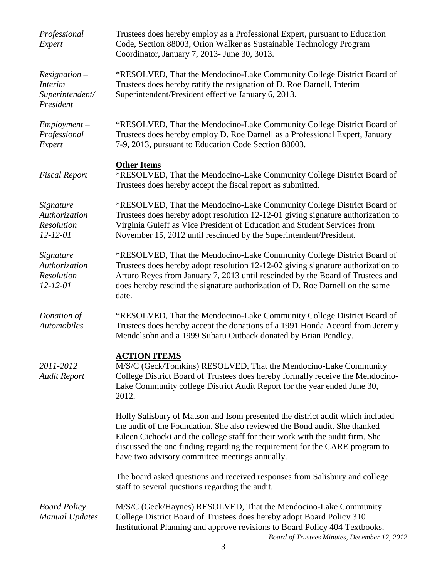| Professional<br>Expert                                            | Trustees does hereby employ as a Professional Expert, pursuant to Education<br>Code, Section 88003, Orion Walker as Sustainable Technology Program<br>Coordinator, January 7, 2013- June 30, 3013.                                                                                                                                                                             |
|-------------------------------------------------------------------|--------------------------------------------------------------------------------------------------------------------------------------------------------------------------------------------------------------------------------------------------------------------------------------------------------------------------------------------------------------------------------|
| $Resignation -$<br><b>Interim</b><br>Superintendent/<br>President | *RESOLVED, That the Mendocino-Lake Community College District Board of<br>Trustees does hereby ratify the resignation of D. Roe Darnell, Interim<br>Superintendent/President effective January 6, 2013.                                                                                                                                                                        |
| $Employment -$<br>Professional<br>Expert                          | *RESOLVED, That the Mendocino-Lake Community College District Board of<br>Trustees does hereby employ D. Roe Darnell as a Professional Expert, January<br>7-9, 2013, pursuant to Education Code Section 88003.                                                                                                                                                                 |
| <b>Fiscal Report</b>                                              | <b>Other Items</b><br>*RESOLVED, That the Mendocino-Lake Community College District Board of<br>Trustees does hereby accept the fiscal report as submitted.                                                                                                                                                                                                                    |
| Signature<br>Authorization<br>Resolution<br>$12 - 12 - 01$        | *RESOLVED, That the Mendocino-Lake Community College District Board of<br>Trustees does hereby adopt resolution 12-12-01 giving signature authorization to<br>Virginia Guleff as Vice President of Education and Student Services from<br>November 15, 2012 until rescinded by the Superintendent/President.                                                                   |
| Signature<br>Authorization<br>Resolution<br>$12 - 12 - 01$        | *RESOLVED, That the Mendocino-Lake Community College District Board of<br>Trustees does hereby adopt resolution 12-12-02 giving signature authorization to<br>Arturo Reyes from January 7, 2013 until rescinded by the Board of Trustees and<br>does hereby rescind the signature authorization of D. Roe Darnell on the same<br>date.                                         |
| Donation of<br>Automobiles                                        | *RESOLVED, That the Mendocino-Lake Community College District Board of<br>Trustees does hereby accept the donations of a 1991 Honda Accord from Jeremy<br>Mendelsohn and a 1999 Subaru Outback donated by Brian Pendley.                                                                                                                                                       |
| 2011-2012<br><b>Audit Report</b>                                  | <b>ACTION ITEMS</b><br>M/S/C (Geck/Tomkins) RESOLVED, That the Mendocino-Lake Community<br>College District Board of Trustees does hereby formally receive the Mendocino-<br>Lake Community college District Audit Report for the year ended June 30,<br>2012.                                                                                                                 |
|                                                                   | Holly Salisbury of Matson and Isom presented the district audit which included<br>the audit of the Foundation. She also reviewed the Bond audit. She thanked<br>Eileen Cichocki and the college staff for their work with the audit firm. She<br>discussed the one finding regarding the requirement for the CARE program to<br>have two advisory committee meetings annually. |
|                                                                   | The board asked questions and received responses from Salisbury and college<br>staff to several questions regarding the audit.                                                                                                                                                                                                                                                 |
| <b>Board Policy</b><br><b>Manual Updates</b>                      | M/S/C (Geck/Haynes) RESOLVED, That the Mendocino-Lake Community<br>College District Board of Trustees does hereby adopt Board Policy 310<br>Institutional Planning and approve revisions to Board Policy 404 Textbooks.                                                                                                                                                        |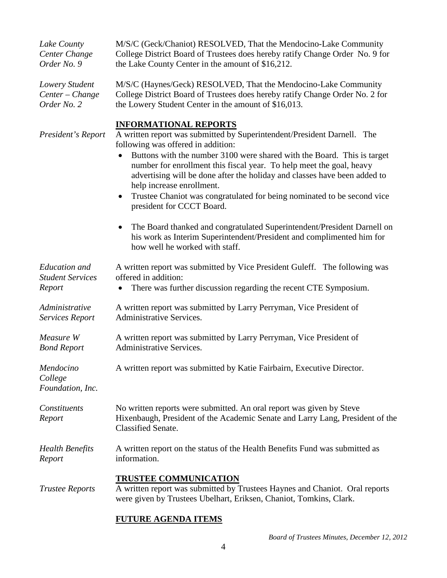| Lake County<br>Center Change<br>Order No. 9               | M/S/C (Geck/Chaniot) RESOLVED, That the Mendocino-Lake Community<br>College District Board of Trustees does hereby ratify Change Order No. 9 for<br>the Lake County Center in the amount of \$16,212.                                                                                                                                                                                                                                                                                                                                                                                                                                                                                                                              |
|-----------------------------------------------------------|------------------------------------------------------------------------------------------------------------------------------------------------------------------------------------------------------------------------------------------------------------------------------------------------------------------------------------------------------------------------------------------------------------------------------------------------------------------------------------------------------------------------------------------------------------------------------------------------------------------------------------------------------------------------------------------------------------------------------------|
| Lowery Student<br>Center - Change<br>Order No. 2          | M/S/C (Haynes/Geck) RESOLVED, That the Mendocino-Lake Community<br>College District Board of Trustees does hereby ratify Change Order No. 2 for<br>the Lowery Student Center in the amount of \$16,013.                                                                                                                                                                                                                                                                                                                                                                                                                                                                                                                            |
| President's Report                                        | <b>INFORMATIONAL REPORTS</b><br>A written report was submitted by Superintendent/President Darnell. The<br>following was offered in addition:<br>Buttons with the number 3100 were shared with the Board. This is target<br>number for enrollment this fiscal year. To help meet the goal, heavy<br>advertising will be done after the holiday and classes have been added to<br>help increase enrollment.<br>Trustee Chaniot was congratulated for being nominated to be second vice<br>$\bullet$<br>president for CCCT Board.<br>The Board thanked and congratulated Superintendent/President Darnell on<br>$\bullet$<br>his work as Interim Superintendent/President and complimented him for<br>how well he worked with staff. |
| <b>Education</b> and<br><b>Student Services</b><br>Report | A written report was submitted by Vice President Guleff. The following was<br>offered in addition:<br>There was further discussion regarding the recent CTE Symposium.<br>$\bullet$                                                                                                                                                                                                                                                                                                                                                                                                                                                                                                                                                |
| Administrative<br>Services Report                         | A written report was submitted by Larry Perryman, Vice President of<br><b>Administrative Services.</b>                                                                                                                                                                                                                                                                                                                                                                                                                                                                                                                                                                                                                             |
| Measure W<br><b>Bond Report</b>                           | A written report was submitted by Larry Perryman, Vice President of<br><b>Administrative Services.</b>                                                                                                                                                                                                                                                                                                                                                                                                                                                                                                                                                                                                                             |
| Mendocino<br>College<br>Foundation, Inc.                  | A written report was submitted by Katie Fairbairn, Executive Director.                                                                                                                                                                                                                                                                                                                                                                                                                                                                                                                                                                                                                                                             |
| Constituents<br>Report                                    | No written reports were submitted. An oral report was given by Steve<br>Hixenbaugh, President of the Academic Senate and Larry Lang, President of the<br><b>Classified Senate.</b>                                                                                                                                                                                                                                                                                                                                                                                                                                                                                                                                                 |
| <b>Health Benefits</b><br>Report                          | A written report on the status of the Health Benefits Fund was submitted as<br>information.                                                                                                                                                                                                                                                                                                                                                                                                                                                                                                                                                                                                                                        |
| <b>Trustee Reports</b>                                    | <b>TRUSTEE COMMUNICATION</b><br>A written report was submitted by Trustees Haynes and Chaniot. Oral reports<br>were given by Trustees Ubelhart, Eriksen, Chaniot, Tomkins, Clark.                                                                                                                                                                                                                                                                                                                                                                                                                                                                                                                                                  |
|                                                           | $\alpha$ print $\alpha$ is the print $\alpha$                                                                                                                                                                                                                                                                                                                                                                                                                                                                                                                                                                                                                                                                                      |

#### **FUTURE AGENDA ITEMS**